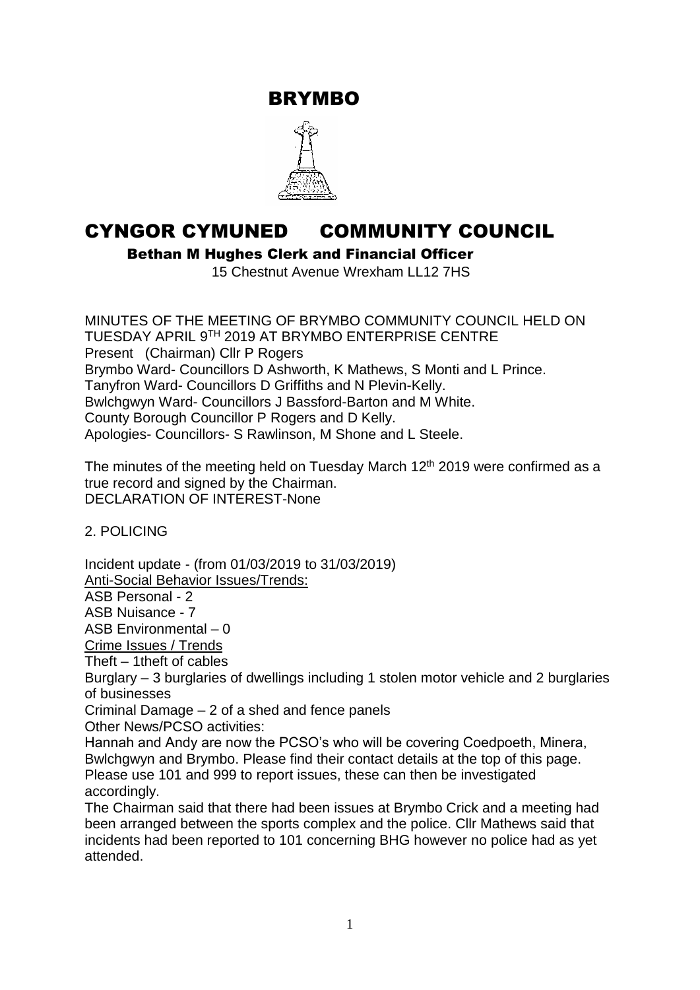BRYMBO



# CYNGOR CYMUNED COMMUNITY COUNCIL

Bethan M Hughes Clerk and Financial Officer

15 Chestnut Avenue Wrexham LL12 7HS

MINUTES OF THE MEETING OF BRYMBO COMMUNITY COUNCIL HELD ON TUESDAY APRIL 9TH 2019 AT BRYMBO ENTERPRISE CENTRE Present (Chairman) Cllr P Rogers Brymbo Ward- Councillors D Ashworth, K Mathews, S Monti and L Prince. Tanyfron Ward- Councillors D Griffiths and N Plevin-Kelly. Bwlchgwyn Ward- Councillors J Bassford-Barton and M White. County Borough Councillor P Rogers and D Kelly. Apologies- Councillors- S Rawlinson, M Shone and L Steele.

The minutes of the meeting held on Tuesday March  $12<sup>th</sup>$  2019 were confirmed as a true record and signed by the Chairman. DECLARATION OF INTEREST-None

2. POLICING

Incident update - (from 01/03/2019 to 31/03/2019) Anti-Social Behavior Issues/Trends:

ASB Personal - 2

ASB Nuisance - 7

ASB Environmental – 0

Crime Issues / Trends

Theft – 1theft of cables

Burglary – 3 burglaries of dwellings including 1 stolen motor vehicle and 2 burglaries of businesses

Criminal Damage – 2 of a shed and fence panels

Other News/PCSO activities:

Hannah and Andy are now the PCSO's who will be covering Coedpoeth, Minera, Bwlchgwyn and Brymbo. Please find their contact details at the top of this page. Please use 101 and 999 to report issues, these can then be investigated accordingly.

The Chairman said that there had been issues at Brymbo Crick and a meeting had been arranged between the sports complex and the police. Cllr Mathews said that incidents had been reported to 101 concerning BHG however no police had as yet attended.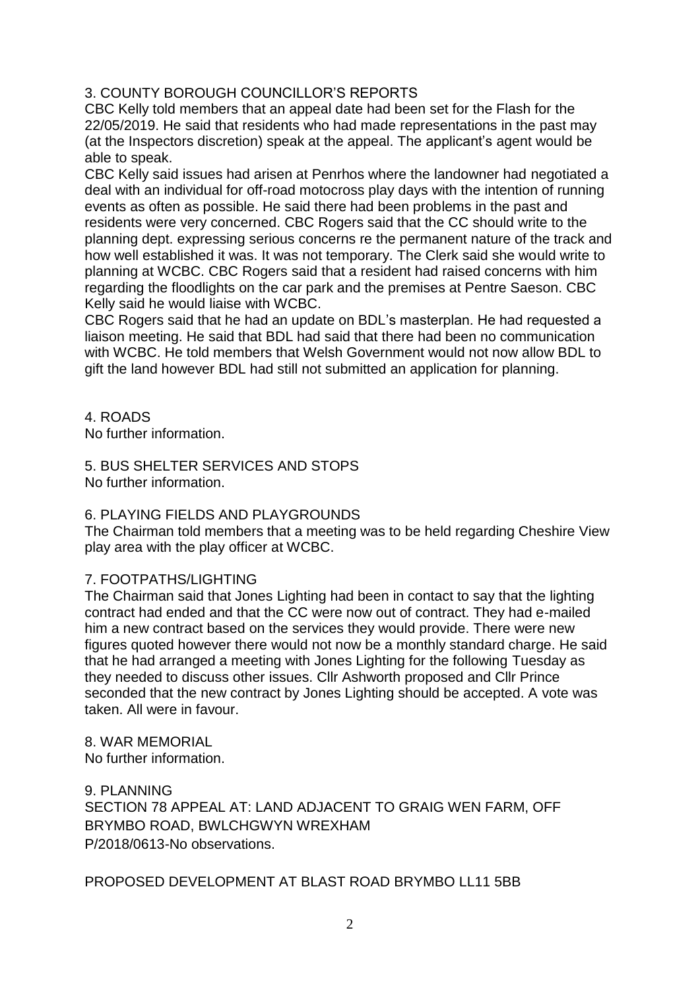## 3. COUNTY BOROUGH COUNCILLOR'S REPORTS

CBC Kelly told members that an appeal date had been set for the Flash for the 22/05/2019. He said that residents who had made representations in the past may (at the Inspectors discretion) speak at the appeal. The applicant's agent would be able to speak.

CBC Kelly said issues had arisen at Penrhos where the landowner had negotiated a deal with an individual for off-road motocross play days with the intention of running events as often as possible. He said there had been problems in the past and residents were very concerned. CBC Rogers said that the CC should write to the planning dept. expressing serious concerns re the permanent nature of the track and how well established it was. It was not temporary. The Clerk said she would write to planning at WCBC. CBC Rogers said that a resident had raised concerns with him regarding the floodlights on the car park and the premises at Pentre Saeson. CBC Kelly said he would liaise with WCBC.

CBC Rogers said that he had an update on BDL's masterplan. He had requested a liaison meeting. He said that BDL had said that there had been no communication with WCBC. He told members that Welsh Government would not now allow BDL to gift the land however BDL had still not submitted an application for planning.

4. ROADS

No further information.

5. BUS SHELTER SERVICES AND STOPS No further information.

### 6. PLAYING FIELDS AND PLAYGROUNDS

The Chairman told members that a meeting was to be held regarding Cheshire View play area with the play officer at WCBC.

### 7. FOOTPATHS/LIGHTING

The Chairman said that Jones Lighting had been in contact to say that the lighting contract had ended and that the CC were now out of contract. They had e-mailed him a new contract based on the services they would provide. There were new figures quoted however there would not now be a monthly standard charge. He said that he had arranged a meeting with Jones Lighting for the following Tuesday as they needed to discuss other issues. Cllr Ashworth proposed and Cllr Prince seconded that the new contract by Jones Lighting should be accepted. A vote was taken. All were in favour.

8. WAR MEMORIAL No further information.

9. PLANNING SECTION 78 APPEAL AT: LAND ADJACENT TO GRAIG WEN FARM, OFF BRYMBO ROAD, BWLCHGWYN WREXHAM P/2018/0613-No observations.

PROPOSED DEVELOPMENT AT BLAST ROAD BRYMBO LL11 5BB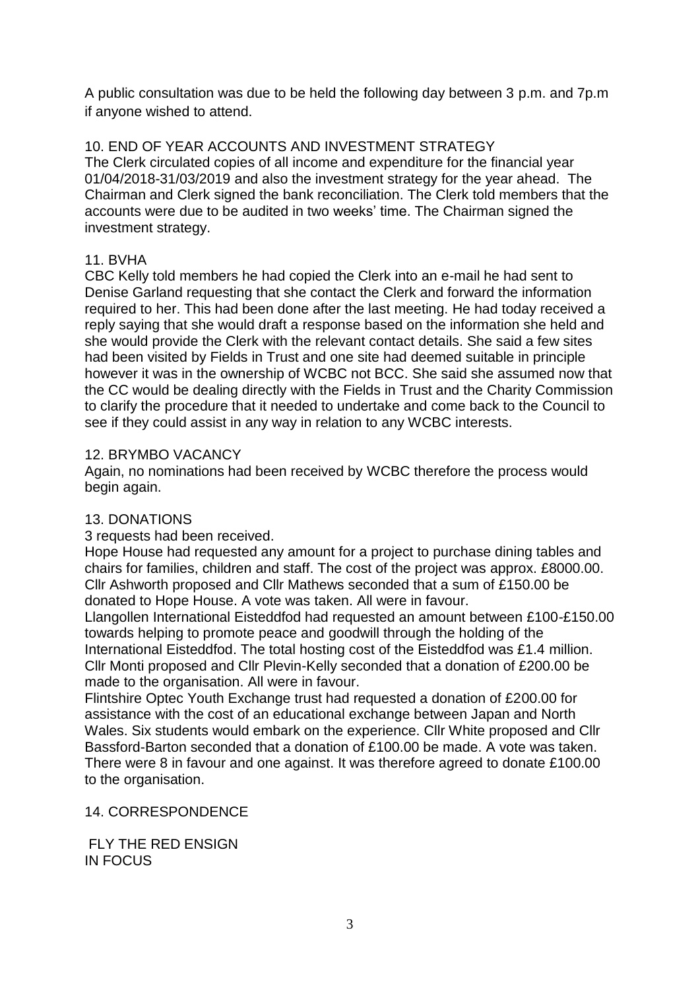A public consultation was due to be held the following day between 3 p.m. and 7p.m if anyone wished to attend.

# 10. END OF YEAR ACCOUNTS AND INVESTMENT STRATEGY

The Clerk circulated copies of all income and expenditure for the financial year 01/04/2018-31/03/2019 and also the investment strategy for the year ahead. The Chairman and Clerk signed the bank reconciliation. The Clerk told members that the accounts were due to be audited in two weeks' time. The Chairman signed the investment strategy.

## 11. BVHA

CBC Kelly told members he had copied the Clerk into an e-mail he had sent to Denise Garland requesting that she contact the Clerk and forward the information required to her. This had been done after the last meeting. He had today received a reply saying that she would draft a response based on the information she held and she would provide the Clerk with the relevant contact details. She said a few sites had been visited by Fields in Trust and one site had deemed suitable in principle however it was in the ownership of WCBC not BCC. She said she assumed now that the CC would be dealing directly with the Fields in Trust and the Charity Commission to clarify the procedure that it needed to undertake and come back to the Council to see if they could assist in any way in relation to any WCBC interests.

### 12. BRYMBO VACANCY

Again, no nominations had been received by WCBC therefore the process would begin again.

## 13. DONATIONS

3 requests had been received.

Hope House had requested any amount for a project to purchase dining tables and chairs for families, children and staff. The cost of the project was approx. £8000.00. Cllr Ashworth proposed and Cllr Mathews seconded that a sum of £150.00 be donated to Hope House. A vote was taken. All were in favour.

Llangollen International Eisteddfod had requested an amount between £100-£150.00 towards helping to promote peace and goodwill through the holding of the International Eisteddfod. The total hosting cost of the Eisteddfod was £1.4 million. Cllr Monti proposed and Cllr Plevin-Kelly seconded that a donation of £200.00 be made to the organisation. All were in favour.

Flintshire Optec Youth Exchange trust had requested a donation of £200.00 for assistance with the cost of an educational exchange between Japan and North Wales. Six students would embark on the experience. Cllr White proposed and Cllr Bassford-Barton seconded that a donation of £100.00 be made. A vote was taken. There were 8 in favour and one against. It was therefore agreed to donate £100.00 to the organisation.

### 14. CORRESPONDENCE

FLY THE RED ENSIGN IN FOCUS